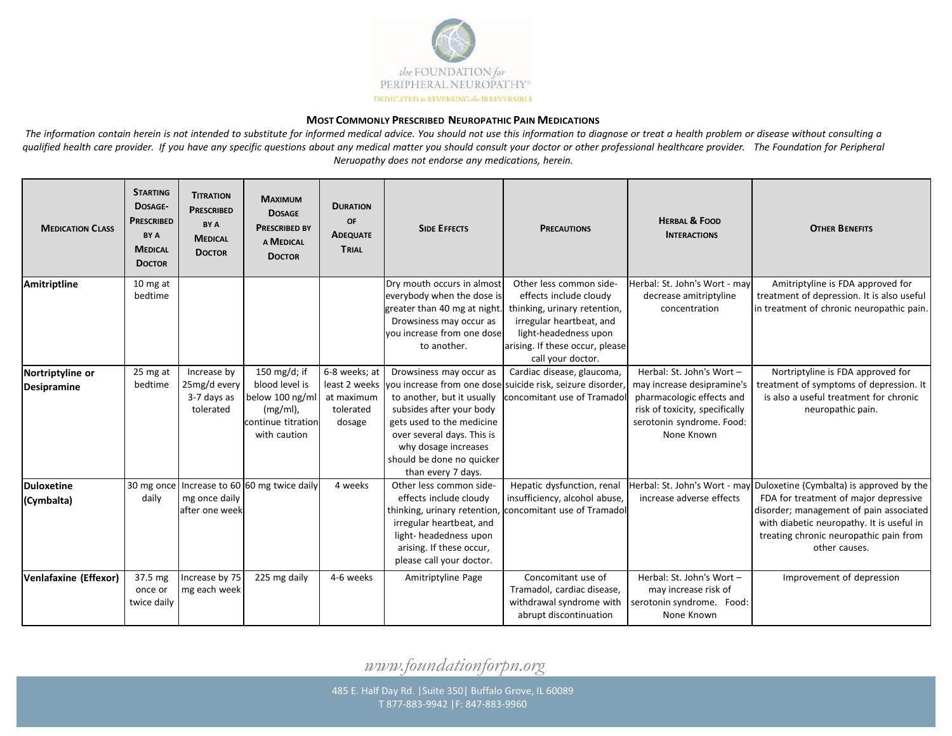

## **MOST COMMONLY PRESCRIBED NEUROPATHIC PAIN MEDICATIONS**

The information contain herein is not intended to substitute for informed medical advice. You should not use this information to diagnose or treat a health problem or disease without consulting a qualified health care provider. If you have any specific questions about any medical matter you should consult your doctor or other professional healthcare provider. The Foundation for Peripheral *Neruopathy does not endorse any medications, herein.*

| <b>MEDICATION CLASS</b>                | <b>STARTING</b><br>DOSAGE-<br><b>PRESCRIBED</b><br>BY A<br><b>MEDICAL</b><br><b>DOCTOR</b> | <b>TITRATION</b><br><b>PRESCRIBED</b><br>BY A<br><b>MEDICAL</b><br><b>DOCTOR</b> | <b>MAXIMUM</b><br><b>DOSAGE</b><br><b>PRESCRIBED BY</b><br>A MEDICAL<br><b>DOCTOR</b>                  | <b>DURATION</b><br>OF<br><b>ADEQUATE</b><br>TRIAL  | <b>SIDE EFFECTS</b>                                                                                                                                                                                                     | <b>PRECAUTIONS</b>                                                                                                                                                                             | <b>HERBAL &amp; FOOD</b><br><b>INTERACTIONS</b>                                                                                                                   | <b>OTHER BENEFITS</b>                                                                                                                                                                                                                                              |
|----------------------------------------|--------------------------------------------------------------------------------------------|----------------------------------------------------------------------------------|--------------------------------------------------------------------------------------------------------|----------------------------------------------------|-------------------------------------------------------------------------------------------------------------------------------------------------------------------------------------------------------------------------|------------------------------------------------------------------------------------------------------------------------------------------------------------------------------------------------|-------------------------------------------------------------------------------------------------------------------------------------------------------------------|--------------------------------------------------------------------------------------------------------------------------------------------------------------------------------------------------------------------------------------------------------------------|
| Amitriptline                           | 10 mg at<br>bedtime                                                                        |                                                                                  |                                                                                                        |                                                    | Dry mouth occurs in almost<br>everybody when the dose is<br>greater than 40 mg at night.<br>Drowsiness may occur as<br>vou increase from one dose<br>to another.                                                        | Other less common side-<br>effects include cloudy<br>thinking, urinary retention,<br>irregular heartbeat, and<br>light-headedness upon<br>arising. If these occur, please<br>call your doctor. | Herbal: St. John's Wort - may<br>decrease amitriptyline<br>concentration                                                                                          | Amitriptyline is FDA approved for<br>treatment of depression. It is also useful<br>in treatment of chronic neuropathic pain.                                                                                                                                       |
| Nortriptyline or<br><b>Desipramine</b> | 25 mg at<br>bedtime                                                                        | Increase by<br>25mg/d every<br>3-7 days as<br>tolerated                          | 150 mg/d; if<br>blood level is<br>below 100 ng/ml<br>$(mg/ml)$ ,<br>continue titration<br>with caution | 6-8 weeks; at<br>at maximum<br>tolerated<br>dosage | Drowsiness may occur as<br>to another, but it usually<br>subsides after your body<br>gets used to the medicine<br>over several days. This is<br>why dosage increases<br>should be done no quicker<br>than every 7 days. | Cardiac disease, glaucoma,<br>least 2 weeks vou increase from one dose suicide risk, seizure disorder<br>concomitant use of Tramadol                                                           | Herbal: St. John's Wort -<br>may increase desipramine's<br>pharmacologic effects and<br>risk of toxicity, specifically<br>serotonin syndrome. Food:<br>None Known | Nortriptyline is FDA approved for<br>treatment of symptoms of depression. It<br>is also a useful treatment for chronic<br>neuropathic pain.                                                                                                                        |
| <b>Duloxetine</b><br>(Cymbalta)        | daily                                                                                      | mg once daily<br>after one week                                                  | 30 mg once   Increase to 60 60 mg twice daily                                                          | 4 weeks                                            | Other less common side-<br>effects include cloudy<br>thinking, urinary retention,<br>irregular heartbeat, and<br>light-headedness upon<br>arising. If these occur,<br>please call your doctor.                          | Hepatic dysfunction, renal<br>insufficiency, alcohol abuse,<br>concomitant use of Tramadol                                                                                                     | increase adverse effects                                                                                                                                          | Herbal: St. John's Wort - may Duloxetine (Cymbalta) is approved by the<br>FDA for treatment of major depressive<br>disorder; management of pain associated<br>with diabetic neuropathy. It is useful in<br>treating chronic neuropathic pain from<br>other causes. |
| Venlafaxine (Effexor)                  | 37.5 mg<br>once or<br>twice daily                                                          | Increase by 75<br>mg each week                                                   | 225 mg daily                                                                                           | 4-6 weeks                                          | Amitriptyline Page                                                                                                                                                                                                      | Concomitant use of<br>Tramadol, cardiac disease,<br>withdrawal syndrome with<br>abrupt discontinuation                                                                                         | Herbal: St. John's Wort -<br>may increase risk of<br>serotonin syndrome. Food:<br>None Known                                                                      | Improvement of depression                                                                                                                                                                                                                                          |

*www.foundationforpn.org*